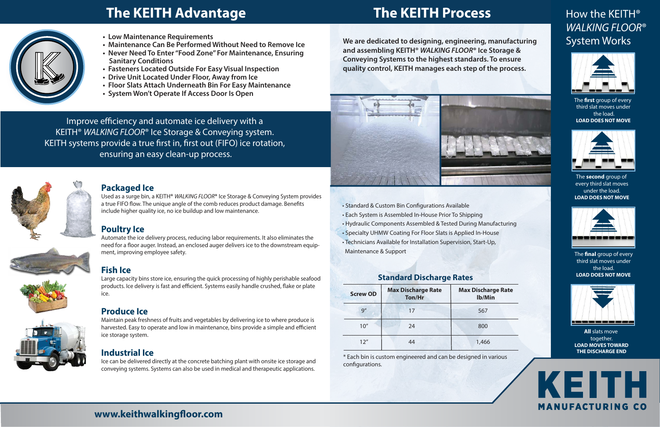\* Each bin is custom engineered and can be designed in various configurations.

• Standard & Custom Bin Configurations Available

- Each System is Assembled In-House Prior To Shipping
- Hydraulic Components Assembled & Tested During Manufacturing
- Specialty UHMW Coating For Floor Slats is Applied In-House
- Technicians Available for Installation Supervision, Start-Up, Maintenance & Support

# How the KEITH<sup>®</sup> WALKING FLOOR® System Works



The **first** group of every third slat moves under the load. **LOAD DOES NOT MOVE**



The **second** group of every third slat moves under the load. **LOAD DOES NOT MOVE**



The **final** group of every third slat moves under the load. **LOAD DOES NOT MOVE**



**All** slats move together. **LOAD MOVES TOWARD THE DISCHARGE END**



# **Packaged Ice**

Used as a surge bin, a KEITH**®** WALKING FLOOR**®** Ice Storage & Conveying System provides a true FIFO flow. The unique angle of the comb reduces product damage. Benefits include higher quality ice, no ice buildup and low maintenance.

# **Poultry Ice**

Automate the ice delivery process, reducing labor requirements. It also eliminates the need for a floor auger. Instead, an enclosed auger delivers ice to the downstream equipment, improving employee safety.

# **Fish Ice**

Large capacity bins store ice, ensuring the quick processing of highly perishable seafood products. Ice delivery is fast and efficient. Systems easily handle crushed, flake or plate ice.

**harge Rate lb/Min**

66

| <b>Screw OD</b> | <b>Max Discharge Rate</b><br>Ton/Hr | <b>Max Disch</b><br>lb/N |
|-----------------|-------------------------------------|--------------------------|
| 9''             | 17                                  | 567                      |
| 10''            | 24                                  | 800                      |
| 12''            | 44                                  | 1,46                     |

# **Produce Ice**

Maintain peak freshness of fruits and vegetables by delivering ice to where produce is harvested. Easy to operate and low in maintenance, bins provide a simple and efficient ice storage system.

# **Industrial Ice**

Ice can be delivered directly at the concrete batching plant with onsite ice storage and conveying systems. Systems can also be used in medical and therapeutic applications.

### **Standard Discharge Rates**

# **The KEITH Advantage The KEITH Process**



- **Low Maintenance Requirements**
- **Maintenance Can Be Performed Without Need to Remove Ice**
- **Never Need To Enter "Food Zone" For Maintenance, Ensuring Sanitary Conditions**
- **Fasteners Located Outside For Easy Visual Inspection**
- **Drive Unit Located Under Floor, Away from Ice**
- **Floor Slats Attach Underneath Bin For Easy Maintenance**
- **System Won't Operate If Access Door Is Open**

Improve efficiency and automate ice delivery with a KEITH® WALKING FLOOR® Ice Storage & Conveying system. KEITH systems provide a true first in, first out (FIFO) ice rotation, ensuring an easy clean-up process.



**We are dedicated to designing, engineering, manufacturing and assembling KEITH® WALKING FLOOR® Ice Storage & Conveying Systems to the highest standards. To ensure quality control, KEITH manages each step of the process.**



# **www.keithwalkingfloor.com**